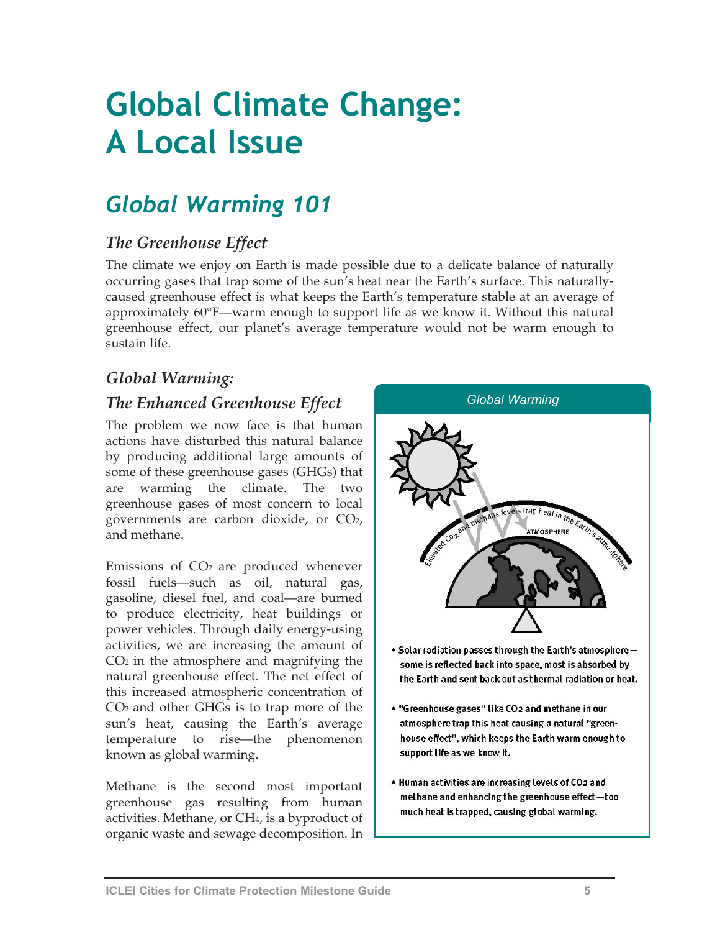# **Global Climate Change: A Local Issue**

## *Global Warming 101*

## *The Greenhouse Effect*

The climate we enjoy on Earth is made possible due to a delicate balance of naturally occurring gases that trap some of the sun's heat near the Earth's surface. This naturallycaused greenhouse effect is what keeps the Earth's temperature stable at an average of approximately 60°F—warm enough to support life as we know it. Without this natural greenhouse effect, our planet's average temperature would not be warm enough to sustain life.

## *Global Warming:*

## *The Enhanced Greenhouse Effect Global Warming*

The problem we now face is that human actions have disturbed this natural balance by producing additional large amounts of some of these greenhouse gases (GHGs) that are warming the climate. The two greenhouse gases of most concern to local governments are carbon dioxide, or CO2, and methane.

Emissions of  $CO<sub>2</sub>$  are produced whenever fossil fuels—such as oil, natural gas, gasoline, diesel fuel, and coal—are burned to produce electricity, heat buildings or power vehicles. Through daily energy-using activities, we are increasing the amount of  $CO<sub>2</sub>$  in the atmosphere and magnifying the natural greenhouse effect. The net effect of this increased atmospheric concentration of CO2 and other GHGs is to trap more of the sun's heat, causing the Earth's average temperature to rise—the phenomenon known as global warming.

Methane is the second most important greenhouse gas resulting from human activities. Methane, or CH4, is a byproduct of organic waste and sewage decomposition. In



. Human activities are increasing levels of CO2 and methane and enhancing the greenhouse effect-too much heat is trapped, causing global warming.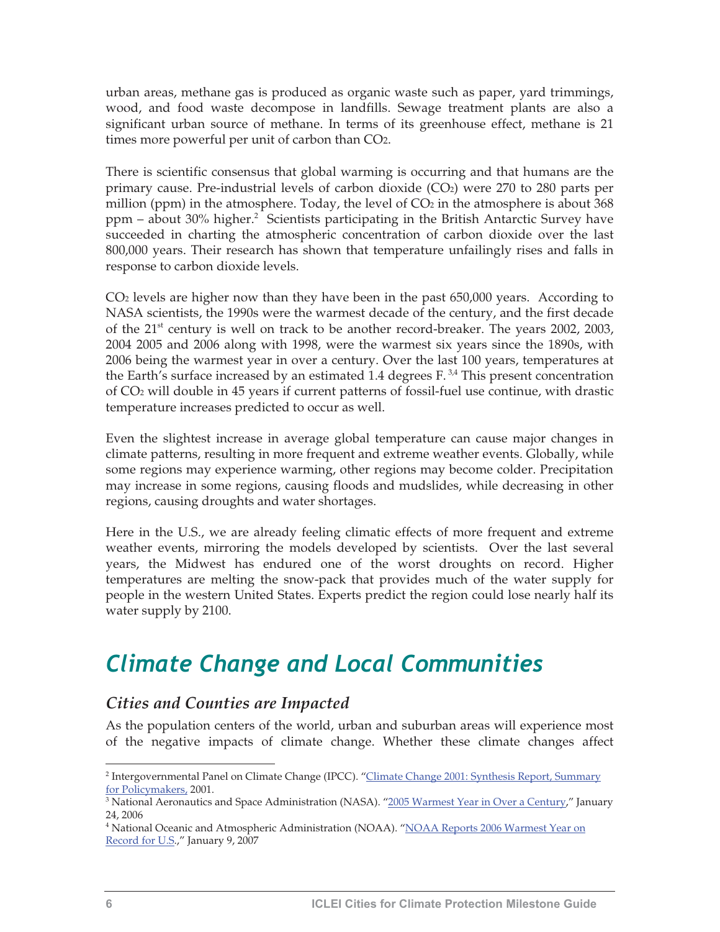urban areas, methane gas is produced as organic waste such as paper, yard trimmings, wood, and food waste decompose in landfills. Sewage treatment plants are also a significant urban source of methane. In terms of its greenhouse effect, methane is 21 times more powerful per unit of carbon than CO2.

There is scientific consensus that global warming is occurring and that humans are the primary cause. Pre-industrial levels of carbon dioxide  $(CO<sub>2</sub>)$  were 270 to 280 parts per million (ppm) in the atmosphere. Today, the level of  $CO<sub>2</sub>$  in the atmosphere is about 368 ppm – about 30% higher.<sup>2</sup> Scientists participating in the British Antarctic Survey have succeeded in charting the atmospheric concentration of carbon dioxide over the last 800,000 years. Their research has shown that temperature unfailingly rises and falls in response to carbon dioxide levels.

CO2 levels are higher now than they have been in the past 650,000 years. According to NASA scientists, the 1990s were the warmest decade of the century, and the first decade of the  $21<sup>st</sup>$  century is well on track to be another record-breaker. The years  $2002$ ,  $2003$ , 2004 2005 and 2006 along with 1998, were the warmest six years since the 1890s, with 2006 being the warmest year in over a century. Over the last 100 years, temperatures at the Earth's surface increased by an estimated 1.4 degrees  $F<sup>3,4</sup>$ . This present concentration of CO2 will double in 45 years if current patterns of fossil-fuel use continue, with drastic temperature increases predicted to occur as well.

Even the slightest increase in average global temperature can cause major changes in climate patterns, resulting in more frequent and extreme weather events. Globally, while some regions may experience warming, other regions may become colder. Precipitation may increase in some regions, causing floods and mudslides, while decreasing in other regions, causing droughts and water shortages.

Here in the U.S., we are already feeling climatic effects of more frequent and extreme weather events, mirroring the models developed by scientists. Over the last several years, the Midwest has endured one of the worst droughts on record. Higher temperatures are melting the snow-pack that provides much of the water supply for people in the western United States. Experts predict the region could lose nearly half its water supply by 2100.

## *Climate Change and Local Communities*

#### *Cities and Counties are Impacted*

As the population centers of the world, urban and suburban areas will experience most of the negative impacts of climate change. Whether these climate changes affect

<sup>&</sup>lt;sup>2</sup> Intergovernmental Panel on Climate Change (IPCC). "<u>Climate Change 2001: Synthesis Report, Summary</u>

f<u>or Policymakers,</u> 2001.<br><sup>3</sup> National Aeronautics and Space Administration (NASA). "<u>2005 Warmest Year in Over a Century</u>," January 24, 2006

<sup>&</sup>lt;sup>4</sup> National Oceanic and Atmospheric Administration (NOAA). "<u>NOAA Reports 2006 Warmest Year on</u> Record for U.S.," January 9, 2007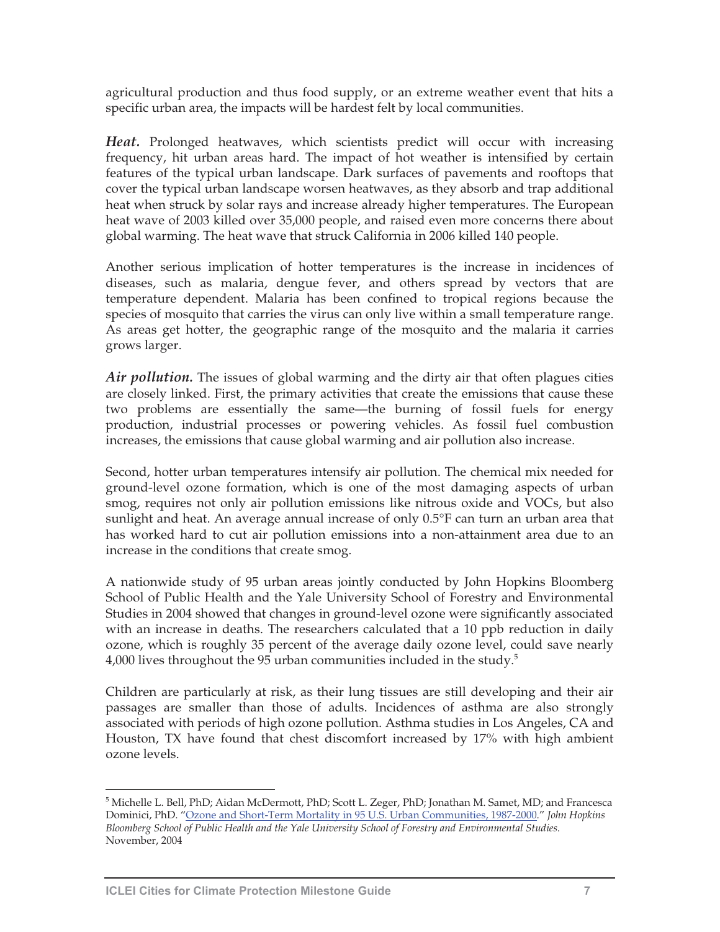agricultural production and thus food supply, or an extreme weather event that hits a specific urban area, the impacts will be hardest felt by local communities.

*Heat.* Prolonged heatwaves, which scientists predict will occur with increasing frequency, hit urban areas hard. The impact of hot weather is intensified by certain features of the typical urban landscape. Dark surfaces of pavements and rooftops that cover the typical urban landscape worsen heatwaves, as they absorb and trap additional heat when struck by solar rays and increase already higher temperatures. The European heat wave of 2003 killed over 35,000 people, and raised even more concerns there about global warming. The heat wave that struck California in 2006 killed 140 people.

Another serious implication of hotter temperatures is the increase in incidences of diseases, such as malaria, dengue fever, and others spread by vectors that are temperature dependent. Malaria has been confined to tropical regions because the species of mosquito that carries the virus can only live within a small temperature range. As areas get hotter, the geographic range of the mosquito and the malaria it carries grows larger.

*Air pollution.* The issues of global warming and the dirty air that often plagues cities are closely linked. First, the primary activities that create the emissions that cause these two problems are essentially the same—the burning of fossil fuels for energy production, industrial processes or powering vehicles. As fossil fuel combustion increases, the emissions that cause global warming and air pollution also increase.

Second, hotter urban temperatures intensify air pollution. The chemical mix needed for ground-level ozone formation, which is one of the most damaging aspects of urban smog, requires not only air pollution emissions like nitrous oxide and VOCs, but also sunlight and heat. An average annual increase of only 0.5°F can turn an urban area that has worked hard to cut air pollution emissions into a non-attainment area due to an increase in the conditions that create smog.

A nationwide study of 95 urban areas jointly conducted by John Hopkins Bloomberg School of Public Health and the Yale University School of Forestry and Environmental Studies in 2004 showed that changes in ground-level ozone were significantly associated with an increase in deaths. The researchers calculated that a 10 ppb reduction in daily ozone, which is roughly 35 percent of the average daily ozone level, could save nearly 4,000 lives throughout the 95 urban communities included in the study. $^5$ 

Children are particularly at risk, as their lung tissues are still developing and their air passages are smaller than those of adults. Incidences of asthma are also strongly associated with periods of high ozone pollution. Asthma studies in Los Angeles, CA and Houston, TX have found that chest discomfort increased by 17% with high ambient ozone levels.

<sup>5</sup> Michelle L. Bell, PhD; Aidan McDermott, PhD; Scott L. Zeger, PhD; Jonathan M. Samet, MD; and Francesca Dominici, PhD. "Ozone and Short-Term Mortality in 95 U.S. Urban Communities, 1987-2000." *John Hopkins Bloomberg School of Public Health and the Yale University School of Forestry and Environmental Studies.* November, 2004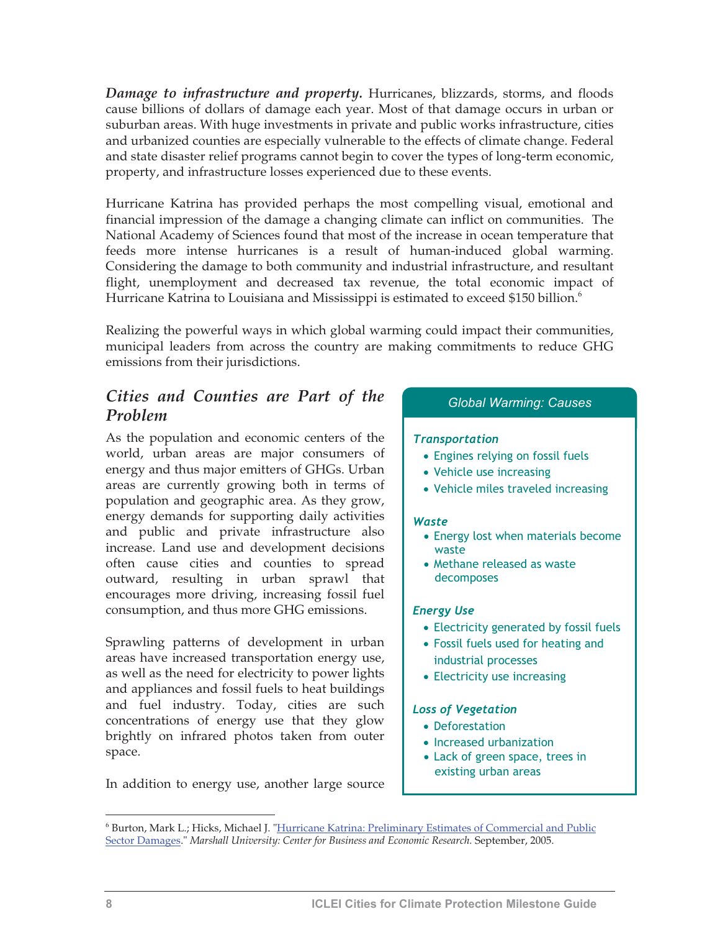*Damage to infrastructure and property.* Hurricanes, blizzards, storms, and floods cause billions of dollars of damage each year. Most of that damage occurs in urban or suburban areas. With huge investments in private and public works infrastructure, cities and urbanized counties are especially vulnerable to the effects of climate change. Federal and state disaster relief programs cannot begin to cover the types of long-term economic, property, and infrastructure losses experienced due to these events.

Hurricane Katrina has provided perhaps the most compelling visual, emotional and financial impression of the damage a changing climate can inflict on communities. The National Academy of Sciences found that most of the increase in ocean temperature that feeds more intense hurricanes is a result of human-induced global warming. Considering the damage to both community and industrial infrastructure, and resultant flight, unemployment and decreased tax revenue, the total economic impact of Hurricane Katrina to Louisiana and Mississippi is estimated to exceed \$150 billion.<sup>6</sup>

Realizing the powerful ways in which global warming could impact their communities, municipal leaders from across the country are making commitments to reduce GHG emissions from their jurisdictions.

## *Cities and Counties are Part of the Problem Global Warming: Causes Global Warming: Causes*

As the population and economic centers of the world, urban areas are major consumers of energy and thus major emitters of GHGs. Urban areas are currently growing both in terms of population and geographic area. As they grow, energy demands for supporting daily activities and public and private infrastructure also increase. Land use and development decisions often cause cities and counties to spread outward, resulting in urban sprawl that encourages more driving, increasing fossil fuel consumption, and thus more GHG emissions.

Sprawling patterns of development in urban areas have increased transportation energy use, as well as the need for electricity to power lights and appliances and fossil fuels to heat buildings and fuel industry. Today, cities are such concentrations of energy use that they glow brightly on infrared photos taken from outer space.

In addition to energy use, another large source

#### *Transportation*

- Engines relying on fossil fuels
- Vehicle use increasing
- Vehicle miles traveled increasing

#### *Waste*

- Energy lost when materials become waste
- Methane released as waste decomposes

#### *Energy Use*

- Electricity generated by fossil fuels
- Fossil fuels used for heating and industrial processes
- Electricity use increasing

#### *Loss of Vegetation*

- Deforestation
- Increased urbanization
- Lack of green space, trees in existing urban areas

<sup>6</sup> Burton, Mark L.; Hicks, Michael J. "Hurricane Katrina: Preliminary Estimates of Commercial and Public Sector Damages." *Marshall University: Center for Business and Economic Research.* September, 2005.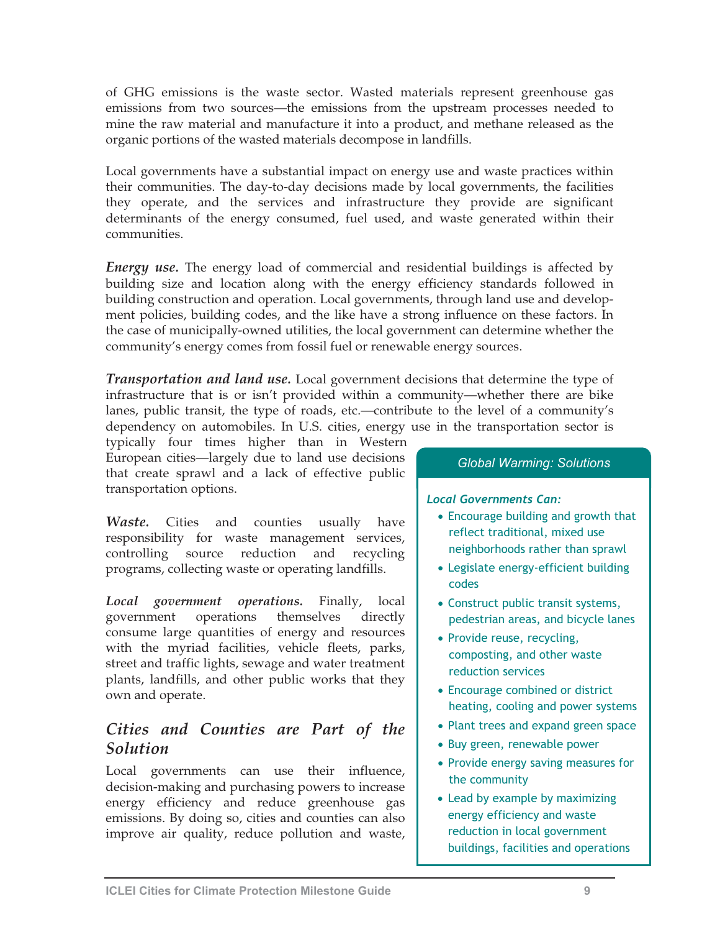of GHG emissions is the waste sector. Wasted materials represent greenhouse gas emissions from two sources—the emissions from the upstream processes needed to mine the raw material and manufacture it into a product, and methane released as the organic portions of the wasted materials decompose in landfills.

Local governments have a substantial impact on energy use and waste practices within their communities. The day-to-day decisions made by local governments, the facilities they operate, and the services and infrastructure they provide are significant determinants of the energy consumed, fuel used, and waste generated within their communities.

*Energy use.* The energy load of commercial and residential buildings is affected by building size and location along with the energy efficiency standards followed in building construction and operation. Local governments, through land use and development policies, building codes, and the like have a strong influence on these factors. In the case of municipally-owned utilities, the local government can determine whether the community's energy comes from fossil fuel or renewable energy sources.

*Transportation and land use.* Local government decisions that determine the type of infrastructure that is or isn't provided within a community—whether there are bike lanes, public transit, the type of roads, etc.—contribute to the level of a community's dependency on automobiles. In U.S. cities, energy use in the transportation sector is

typically four times higher than in Western European cities—largely due to land use decisions that create sprawl and a lack of effective public transportation options.

*Waste.* Cities and counties usually have responsibility for waste management services, controlling source reduction and recycling programs, collecting waste or operating landfills.

*Local government operations.* Finally, local government operations themselves directly consume large quantities of energy and resources with the myriad facilities, vehicle fleets, parks, street and traffic lights, sewage and water treatment plants, landfills, and other public works that they own and operate.

### *Cities and Counties are Part of the Solution*

Local governments can use their influence, decision-making and purchasing powers to increase energy efficiency and reduce greenhouse gas emissions. By doing so, cities and counties can also improve air quality, reduce pollution and waste,

#### *Global Warming: Solutions*

#### *Local Governments Can:*

- Encourage building and growth that reflect traditional, mixed use neighborhoods rather than sprawl
- Legislate energy-efficient building codes
- Construct public transit systems, pedestrian areas, and bicycle lanes
- Provide reuse, recycling, composting, and other waste reduction services
- Encourage combined or district heating, cooling and power systems
- Plant trees and expand green space
- Buy green, renewable power
- Provide energy saving measures for the community
- Lead by example by maximizing energy efficiency and waste reduction in local government buildings, facilities and operations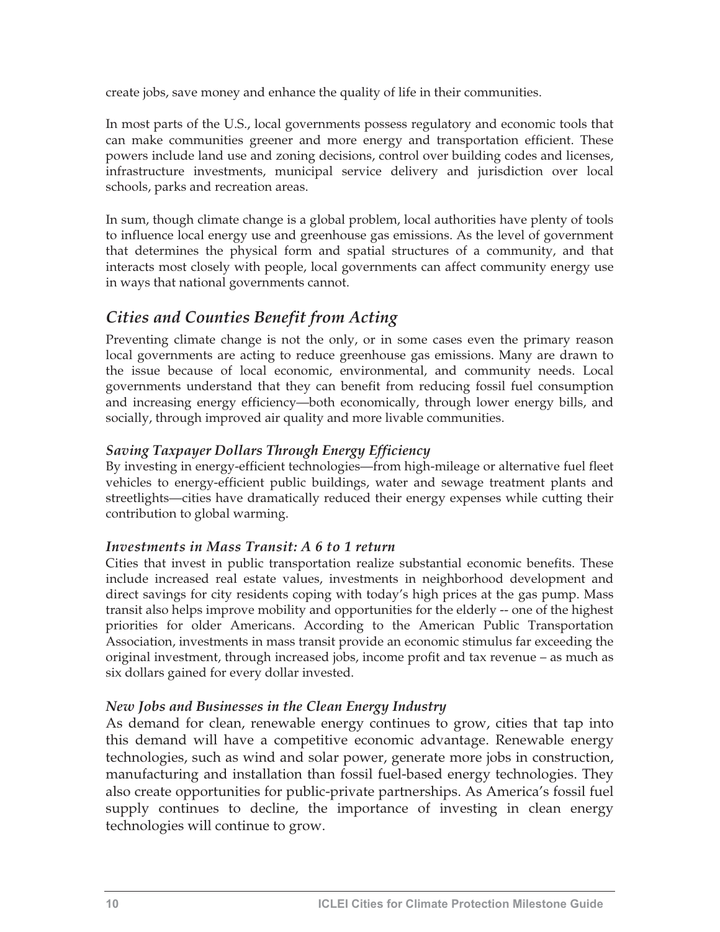create jobs, save money and enhance the quality of life in their communities.

In most parts of the U.S., local governments possess regulatory and economic tools that can make communities greener and more energy and transportation efficient. These powers include land use and zoning decisions, control over building codes and licenses, infrastructure investments, municipal service delivery and jurisdiction over local schools, parks and recreation areas.

In sum, though climate change is a global problem, local authorities have plenty of tools to influence local energy use and greenhouse gas emissions. As the level of government that determines the physical form and spatial structures of a community, and that interacts most closely with people, local governments can affect community energy use in ways that national governments cannot.

#### *Cities and Counties Benefit from Acting*

Preventing climate change is not the only, or in some cases even the primary reason local governments are acting to reduce greenhouse gas emissions. Many are drawn to the issue because of local economic, environmental, and community needs. Local governments understand that they can benefit from reducing fossil fuel consumption and increasing energy efficiency—both economically, through lower energy bills, and socially, through improved air quality and more livable communities.

#### *Saving Taxpayer Dollars Through Energy Efficiency*

By investing in energy-efficient technologies—from high-mileage or alternative fuel fleet vehicles to energy-efficient public buildings, water and sewage treatment plants and streetlights—cities have dramatically reduced their energy expenses while cutting their contribution to global warming.

#### *Investments in Mass Transit: A 6 to 1 return*

Cities that invest in public transportation realize substantial economic benefits. These include increased real estate values, investments in neighborhood development and direct savings for city residents coping with today's high prices at the gas pump. Mass transit also helps improve mobility and opportunities for the elderly -- one of the highest priorities for older Americans. According to the American Public Transportation Association, investments in mass transit provide an economic stimulus far exceeding the original investment, through increased jobs, income profit and tax revenue – as much as six dollars gained for every dollar invested.

#### *New Jobs and Businesses in the Clean Energy Industry*

As demand for clean, renewable energy continues to grow, cities that tap into this demand will have a competitive economic advantage. Renewable energy technologies, such as wind and solar power, generate more jobs in construction, manufacturing and installation than fossil fuel-based energy technologies. They also create opportunities for public-private partnerships. As America's fossil fuel supply continues to decline, the importance of investing in clean energy technologies will continue to grow.